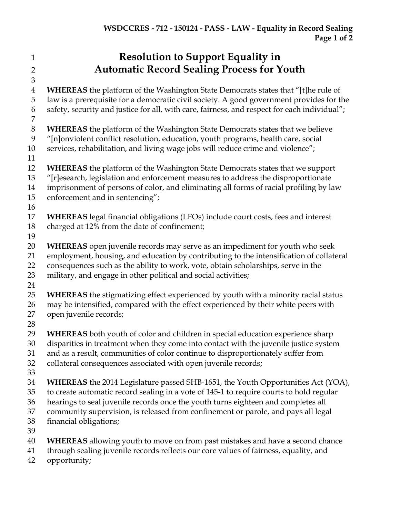- **Resolution to Support Equality in Automatic Record Sealing Process for Youth WHEREAS** the platform of the Washington State Democrats states that "[t]he rule of law is a prerequisite for a democratic civil society. A good government provides for the safety, security and justice for all, with care, fairness, and respect for each individual"; **WHEREAS** the platform of the Washington State Democrats states that we believe "[n]onviolent conflict resolution, education, youth programs, health care, social services, rehabilitation, and living wage jobs will reduce crime and violence"; **WHEREAS** the platform of the Washington State Democrats states that we support "[r]esearch, legislation and enforcement measures to address the disproportionate imprisonment of persons of color, and eliminating all forms of racial profiling by law enforcement and in sentencing"; **WHEREAS** legal financial obligations (LFOs) include court costs, fees and interest charged at 12% from the date of confinement; **WHEREAS** open juvenile records may serve as an impediment for youth who seek employment, housing, and education by contributing to the intensification of collateral consequences such as the ability to work, vote, obtain scholarships, serve in the military, and engage in other political and social activities; **WHEREAS** the stigmatizing effect experienced by youth with a minority racial status may be intensified, compared with the effect experienced by their white peers with open juvenile records; **WHEREAS** both youth of color and children in special education experience sharp disparities in treatment when they come into contact with the juvenile justice system and as a result, communities of color continue to disproportionately suffer from collateral consequences associated with open juvenile records; **WHEREAS** the 2014 Legislature passed SHB-1651, the Youth Opportunities Act (YOA), to create automatic record sealing in a vote of 145-1 to require courts to hold regular hearings to seal juvenile records once the youth turns eighteen and completes all community supervision, is released from confinement or parole, and pays all legal financial obligations; **WHEREAS** allowing youth to move on from past mistakes and have a second chance
- through sealing juvenile records reflects our core values of fairness, equality, and
- opportunity;